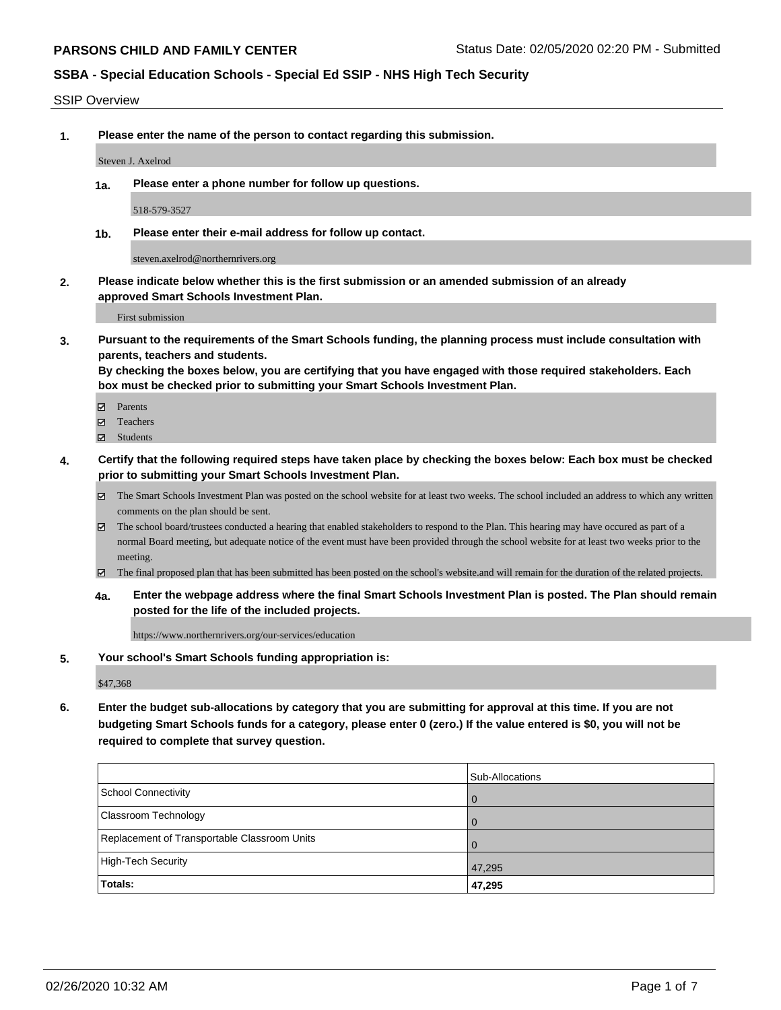#### SSIP Overview

**1. Please enter the name of the person to contact regarding this submission.**

Steven J. Axelrod

**1a. Please enter a phone number for follow up questions.**

518-579-3527

**1b. Please enter their e-mail address for follow up contact.**

steven.axelrod@northernrivers.org

**2. Please indicate below whether this is the first submission or an amended submission of an already approved Smart Schools Investment Plan.**

First submission

**3. Pursuant to the requirements of the Smart Schools funding, the planning process must include consultation with parents, teachers and students.**

**By checking the boxes below, you are certifying that you have engaged with those required stakeholders. Each box must be checked prior to submitting your Smart Schools Investment Plan.**

- Parents
- Teachers
- Students
- **4. Certify that the following required steps have taken place by checking the boxes below: Each box must be checked prior to submitting your Smart Schools Investment Plan.**
	- The Smart Schools Investment Plan was posted on the school website for at least two weeks. The school included an address to which any written comments on the plan should be sent.
	- The school board/trustees conducted a hearing that enabled stakeholders to respond to the Plan. This hearing may have occured as part of a normal Board meeting, but adequate notice of the event must have been provided through the school website for at least two weeks prior to the meeting.
	- The final proposed plan that has been submitted has been posted on the school's website.and will remain for the duration of the related projects.
	- **4a. Enter the webpage address where the final Smart Schools Investment Plan is posted. The Plan should remain posted for the life of the included projects.**

https://www.northernrivers.org/our-services/education

**5. Your school's Smart Schools funding appropriation is:**

\$47,368

**6. Enter the budget sub-allocations by category that you are submitting for approval at this time. If you are not budgeting Smart Schools funds for a category, please enter 0 (zero.) If the value entered is \$0, you will not be required to complete that survey question.**

|                                              | Sub-Allocations |
|----------------------------------------------|-----------------|
| School Connectivity                          | 0               |
| Classroom Technology                         | $\Omega$        |
| Replacement of Transportable Classroom Units | $\Omega$        |
| High-Tech Security                           | 47,295          |
| <b>Totals:</b>                               | 47,295          |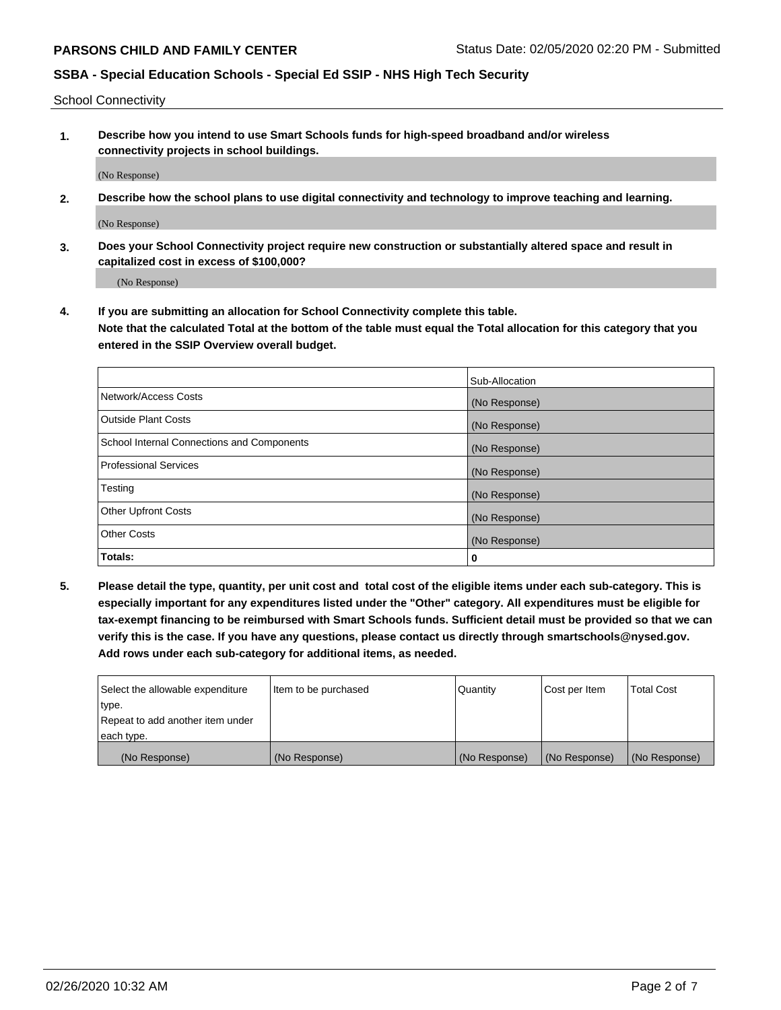School Connectivity

**1. Describe how you intend to use Smart Schools funds for high-speed broadband and/or wireless connectivity projects in school buildings.**

(No Response)

**2. Describe how the school plans to use digital connectivity and technology to improve teaching and learning.**

(No Response)

**3. Does your School Connectivity project require new construction or substantially altered space and result in capitalized cost in excess of \$100,000?**

(No Response)

**4. If you are submitting an allocation for School Connectivity complete this table. Note that the calculated Total at the bottom of the table must equal the Total allocation for this category that you entered in the SSIP Overview overall budget.** 

|                                            | Sub-Allocation |
|--------------------------------------------|----------------|
| Network/Access Costs                       | (No Response)  |
| Outside Plant Costs                        | (No Response)  |
| School Internal Connections and Components | (No Response)  |
| <b>Professional Services</b>               | (No Response)  |
| Testing                                    | (No Response)  |
| Other Upfront Costs                        | (No Response)  |
| <b>Other Costs</b>                         | (No Response)  |
| Totals:                                    | 0              |

**5. Please detail the type, quantity, per unit cost and total cost of the eligible items under each sub-category. This is especially important for any expenditures listed under the "Other" category. All expenditures must be eligible for tax-exempt financing to be reimbursed with Smart Schools funds. Sufficient detail must be provided so that we can verify this is the case. If you have any questions, please contact us directly through smartschools@nysed.gov. Add rows under each sub-category for additional items, as needed.**

| each type.<br>(No Response)      | (No Response)          | (No Response) | (No Response) | (No Response)     |
|----------------------------------|------------------------|---------------|---------------|-------------------|
|                                  |                        |               |               |                   |
| Repeat to add another item under |                        |               |               |                   |
| ∣type.                           |                        |               |               |                   |
| Select the allowable expenditure | I Item to be purchased | Quantity      | Cost per Item | <b>Total Cost</b> |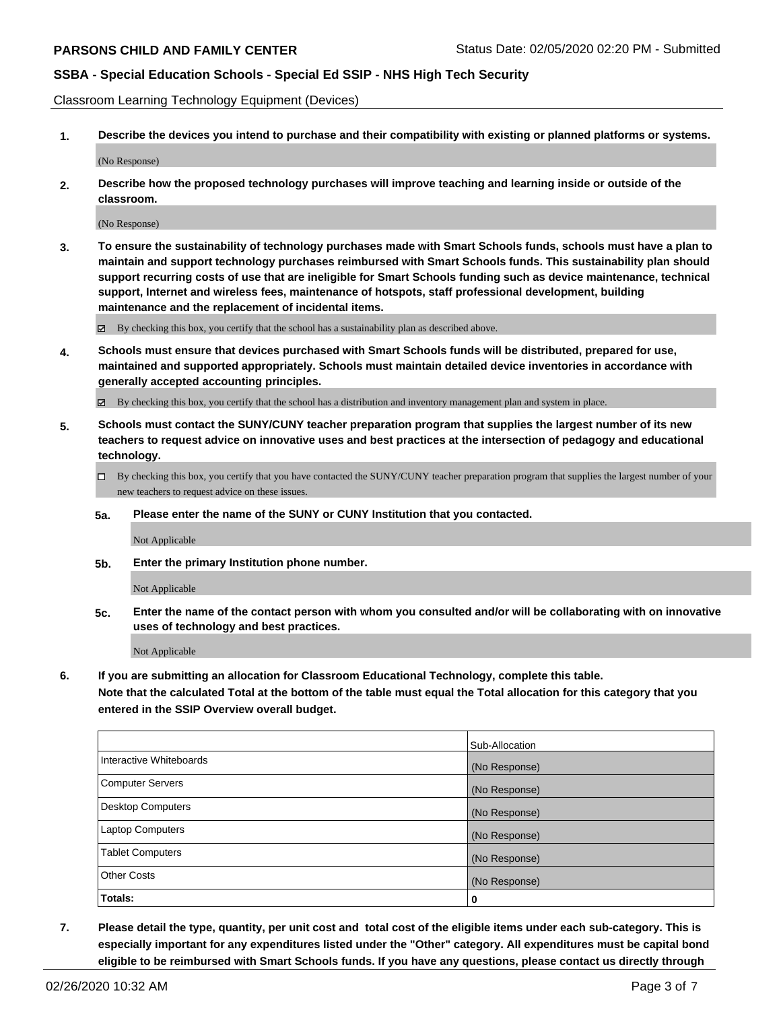Classroom Learning Technology Equipment (Devices)

**1. Describe the devices you intend to purchase and their compatibility with existing or planned platforms or systems.**

(No Response)

**2. Describe how the proposed technology purchases will improve teaching and learning inside or outside of the classroom.**

(No Response)

**3. To ensure the sustainability of technology purchases made with Smart Schools funds, schools must have a plan to maintain and support technology purchases reimbursed with Smart Schools funds. This sustainability plan should support recurring costs of use that are ineligible for Smart Schools funding such as device maintenance, technical support, Internet and wireless fees, maintenance of hotspots, staff professional development, building maintenance and the replacement of incidental items.**

By checking this box, you certify that the school has a sustainability plan as described above.

**4. Schools must ensure that devices purchased with Smart Schools funds will be distributed, prepared for use, maintained and supported appropriately. Schools must maintain detailed device inventories in accordance with generally accepted accounting principles.**

By checking this box, you certify that the school has a distribution and inventory management plan and system in place.

- **5. Schools must contact the SUNY/CUNY teacher preparation program that supplies the largest number of its new teachers to request advice on innovative uses and best practices at the intersection of pedagogy and educational technology.**
	- By checking this box, you certify that you have contacted the SUNY/CUNY teacher preparation program that supplies the largest number of your new teachers to request advice on these issues.
	- **5a. Please enter the name of the SUNY or CUNY Institution that you contacted.**

Not Applicable

**5b. Enter the primary Institution phone number.**

Not Applicable

**5c. Enter the name of the contact person with whom you consulted and/or will be collaborating with on innovative uses of technology and best practices.**

Not Applicable

**6. If you are submitting an allocation for Classroom Educational Technology, complete this table.**

**Note that the calculated Total at the bottom of the table must equal the Total allocation for this category that you entered in the SSIP Overview overall budget.**

|                          | Sub-Allocation |
|--------------------------|----------------|
| Interactive Whiteboards  | (No Response)  |
| <b>Computer Servers</b>  | (No Response)  |
| <b>Desktop Computers</b> | (No Response)  |
| Laptop Computers         | (No Response)  |
| <b>Tablet Computers</b>  | (No Response)  |
| <b>Other Costs</b>       | (No Response)  |
| Totals:                  | 0              |

**7. Please detail the type, quantity, per unit cost and total cost of the eligible items under each sub-category. This is especially important for any expenditures listed under the "Other" category. All expenditures must be capital bond eligible to be reimbursed with Smart Schools funds. If you have any questions, please contact us directly through**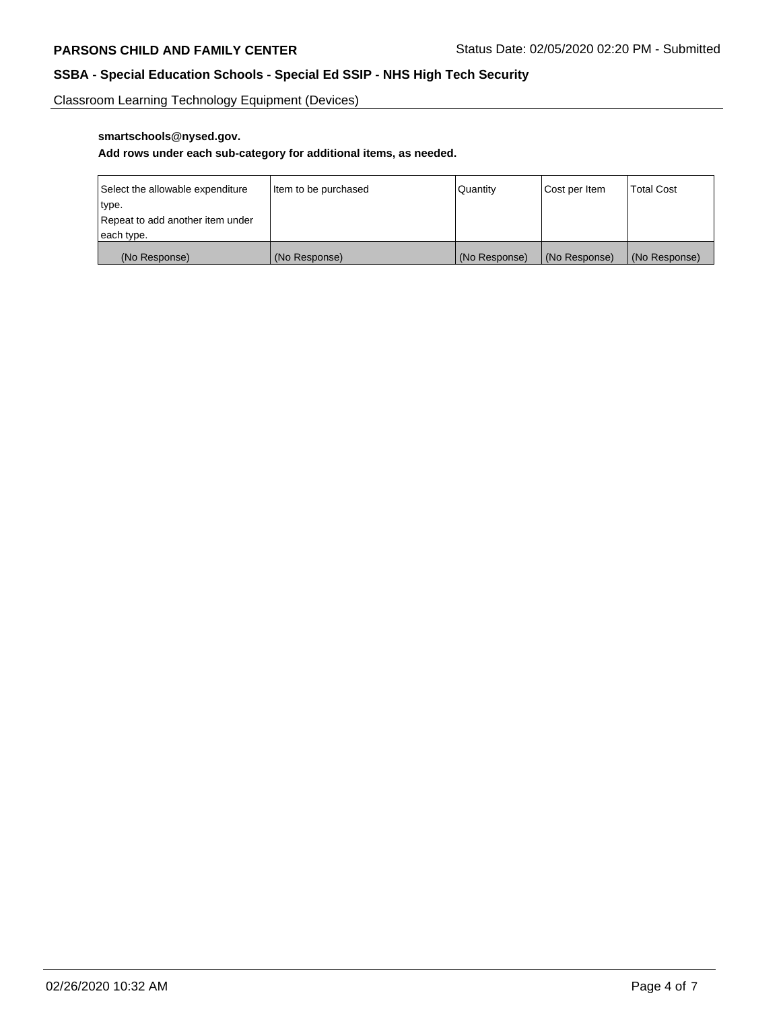Classroom Learning Technology Equipment (Devices)

# **smartschools@nysed.gov.**

### **Add rows under each sub-category for additional items, as needed.**

| Select the allowable expenditure | Item to be purchased | <b>Quantity</b> | Cost per Item   | <b>Total Cost</b> |
|----------------------------------|----------------------|-----------------|-----------------|-------------------|
| type.                            |                      |                 |                 |                   |
| Repeat to add another item under |                      |                 |                 |                   |
| each type.                       |                      |                 |                 |                   |
| (No Response)                    | (No Response)        | (No Response)   | l (No Response) | (No Response)     |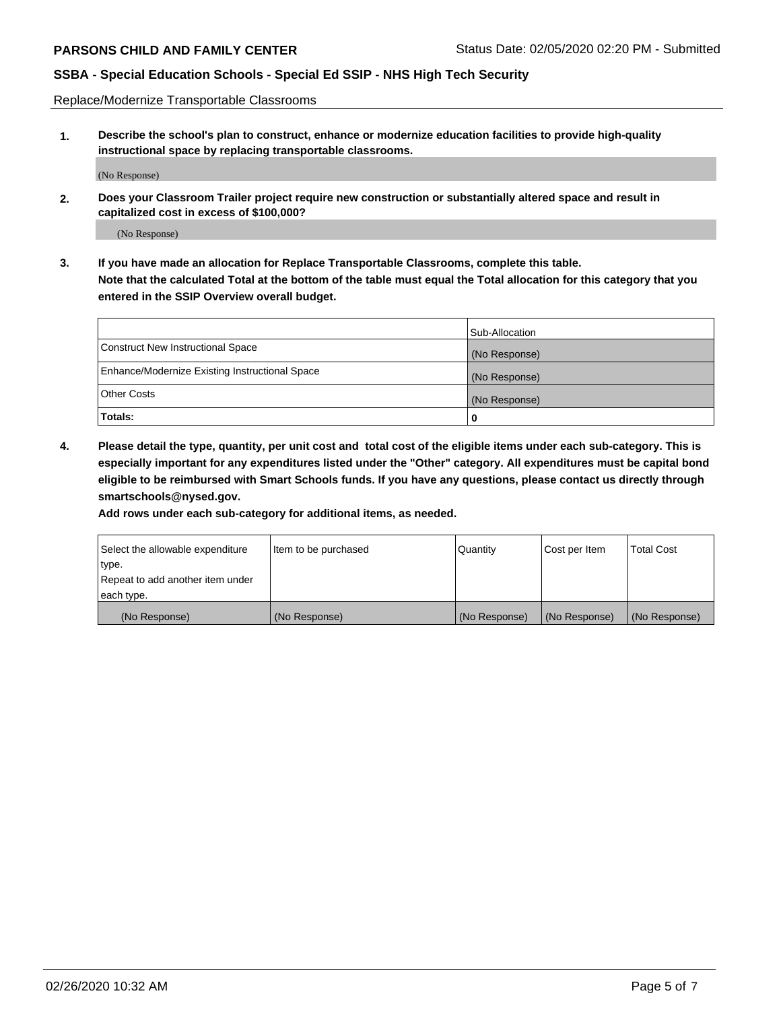Replace/Modernize Transportable Classrooms

**1. Describe the school's plan to construct, enhance or modernize education facilities to provide high-quality instructional space by replacing transportable classrooms.**

(No Response)

**2. Does your Classroom Trailer project require new construction or substantially altered space and result in capitalized cost in excess of \$100,000?**

(No Response)

**3. If you have made an allocation for Replace Transportable Classrooms, complete this table. Note that the calculated Total at the bottom of the table must equal the Total allocation for this category that you entered in the SSIP Overview overall budget.**

|                                                | Sub-Allocation |
|------------------------------------------------|----------------|
| Construct New Instructional Space              | (No Response)  |
| Enhance/Modernize Existing Instructional Space | (No Response)  |
| Other Costs                                    | (No Response)  |
| Totals:                                        | 0              |

**4. Please detail the type, quantity, per unit cost and total cost of the eligible items under each sub-category. This is especially important for any expenditures listed under the "Other" category. All expenditures must be capital bond eligible to be reimbursed with Smart Schools funds. If you have any questions, please contact us directly through smartschools@nysed.gov.**

**Add rows under each sub-category for additional items, as needed.**

| Select the allowable expenditure | Item to be purchased | Quantity      | Cost per Item | <b>Total Cost</b> |
|----------------------------------|----------------------|---------------|---------------|-------------------|
| 'type.                           |                      |               |               |                   |
| Repeat to add another item under |                      |               |               |                   |
| each type.                       |                      |               |               |                   |
| (No Response)                    | (No Response)        | (No Response) | (No Response) | (No Response)     |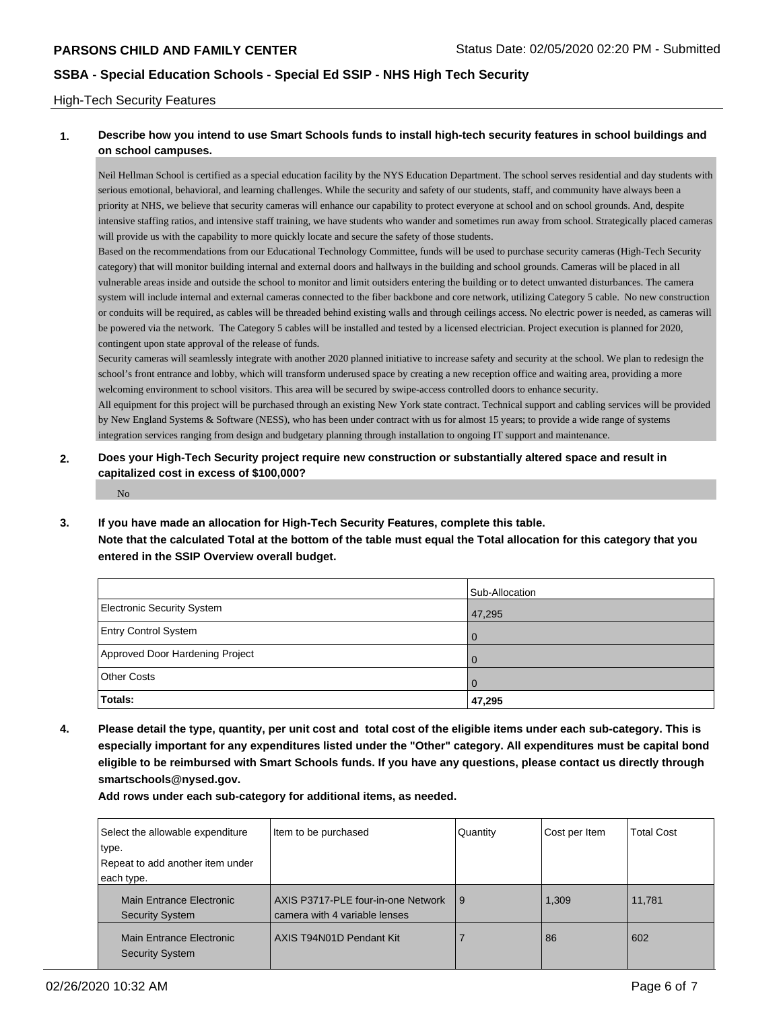#### High-Tech Security Features

### **1. Describe how you intend to use Smart Schools funds to install high-tech security features in school buildings and on school campuses.**

Neil Hellman School is certified as a special education facility by the NYS Education Department. The school serves residential and day students with serious emotional, behavioral, and learning challenges. While the security and safety of our students, staff, and community have always been a priority at NHS, we believe that security cameras will enhance our capability to protect everyone at school and on school grounds. And, despite intensive staffing ratios, and intensive staff training, we have students who wander and sometimes run away from school. Strategically placed cameras will provide us with the capability to more quickly locate and secure the safety of those students.

Based on the recommendations from our Educational Technology Committee, funds will be used to purchase security cameras (High-Tech Security category) that will monitor building internal and external doors and hallways in the building and school grounds. Cameras will be placed in all vulnerable areas inside and outside the school to monitor and limit outsiders entering the building or to detect unwanted disturbances. The camera system will include internal and external cameras connected to the fiber backbone and core network, utilizing Category 5 cable. No new construction or conduits will be required, as cables will be threaded behind existing walls and through ceilings access. No electric power is needed, as cameras will be powered via the network. The Category 5 cables will be installed and tested by a licensed electrician. Project execution is planned for 2020, contingent upon state approval of the release of funds.

Security cameras will seamlessly integrate with another 2020 planned initiative to increase safety and security at the school. We plan to redesign the school's front entrance and lobby, which will transform underused space by creating a new reception office and waiting area, providing a more welcoming environment to school visitors. This area will be secured by swipe-access controlled doors to enhance security.

All equipment for this project will be purchased through an existing New York state contract. Technical support and cabling services will be provided by New England Systems & Software (NESS), who has been under contract with us for almost 15 years; to provide a wide range of systems integration services ranging from design and budgetary planning through installation to ongoing IT support and maintenance.

#### **2. Does your High-Tech Security project require new construction or substantially altered space and result in capitalized cost in excess of \$100,000?**

No

**3. If you have made an allocation for High-Tech Security Features, complete this table.**

**Note that the calculated Total at the bottom of the table must equal the Total allocation for this category that you entered in the SSIP Overview overall budget.**

|                                 | Sub-Allocation |
|---------------------------------|----------------|
| Electronic Security System      | 47,295         |
| <b>Entry Control System</b>     | l O            |
| Approved Door Hardening Project | l 0            |
| <b>Other Costs</b>              |                |
| Totals:                         | 47,295         |

**4. Please detail the type, quantity, per unit cost and total cost of the eligible items under each sub-category. This is especially important for any expenditures listed under the "Other" category. All expenditures must be capital bond eligible to be reimbursed with Smart Schools funds. If you have any questions, please contact us directly through smartschools@nysed.gov.**

**Add rows under each sub-category for additional items, as needed.**

| Select the allowable expenditure                   | Item to be purchased                                                | Quantity | Cost per Item | <b>Total Cost</b> |
|----------------------------------------------------|---------------------------------------------------------------------|----------|---------------|-------------------|
| type.                                              |                                                                     |          |               |                   |
| Repeat to add another item under                   |                                                                     |          |               |                   |
| each type.                                         |                                                                     |          |               |                   |
| Main Entrance Electronic<br><b>Security System</b> | AXIS P3717-PLE four-in-one Network<br>camera with 4 variable lenses | l 9      | 1.309         | 11.781            |
| Main Entrance Electronic<br><b>Security System</b> | AXIS T94N01D Pendant Kit                                            |          | 86            | 602               |